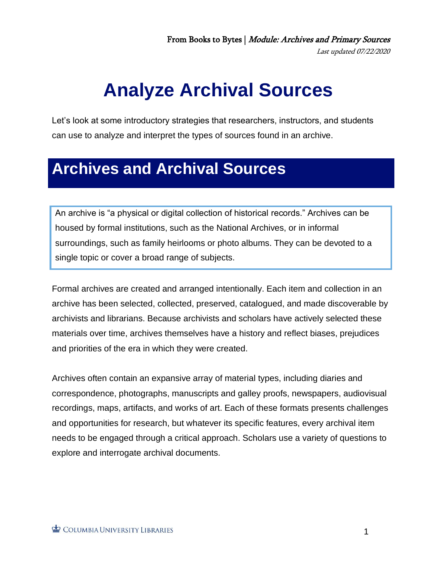## **Analyze Archival Sources**.

Let's look at some introductory strategies that researchers, instructors, and students can use to analyze and interpret the types of sources found in an archive.

## **Archives and Archival Sources.**

An archive is "a physical or digital collection of historical records." Archives can be housed by formal institutions, such as the National Archives, or in informal surroundings, such as family heirlooms or photo albums. They can be devoted to a single topic or cover a broad range of subjects.

Formal archives are created and arranged intentionally. Each item and collection in an archive has been selected, collected, preserved, catalogued, and made discoverable by archivists and librarians. Because archivists and scholars have actively selected these materials over time, archives themselves have a history and reflect biases, prejudices and priorities of the era in which they were created.

Archives often contain an expansive array of material types, including diaries and correspondence, photographs, manuscripts and galley proofs, newspapers, audiovisual recordings, maps, artifacts, and works of art. Each of these formats presents challenges and opportunities for research, but whatever its specific features, every archival item needs to be engaged through a critical approach. Scholars use a variety of questions to explore and interrogate archival documents.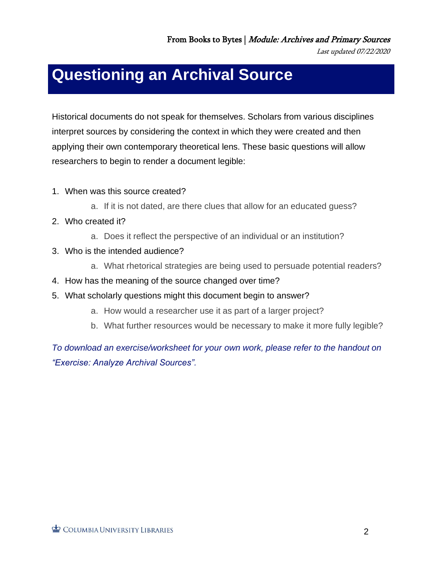Last updated 07/22/2020

## **Questioning an Archival Source.**

Historical documents do not speak for themselves. Scholars from various disciplines interpret sources by considering the context in which they were created and then applying their own contemporary theoretical lens. These basic questions will allow researchers to begin to render a document legible:

- 1. When was this source created?
	- a. If it is not dated, are there clues that allow for an educated guess?
- 2. Who created it?
	- a. Does it reflect the perspective of an individual or an institution?
- 3. Who is the intended audience?
	- a. What rhetorical strategies are being used to persuade potential readers?
- 4. How has the meaning of the source changed over time?
- 5. What scholarly questions might this document begin to answer?
	- a. How would a researcher use it as part of a larger project?
	- b. What further resources would be necessary to make it more fully legible?

*To download an exercise/worksheet for your own work, please refer to the handout on "Exercise: Analyze Archival Sources".*